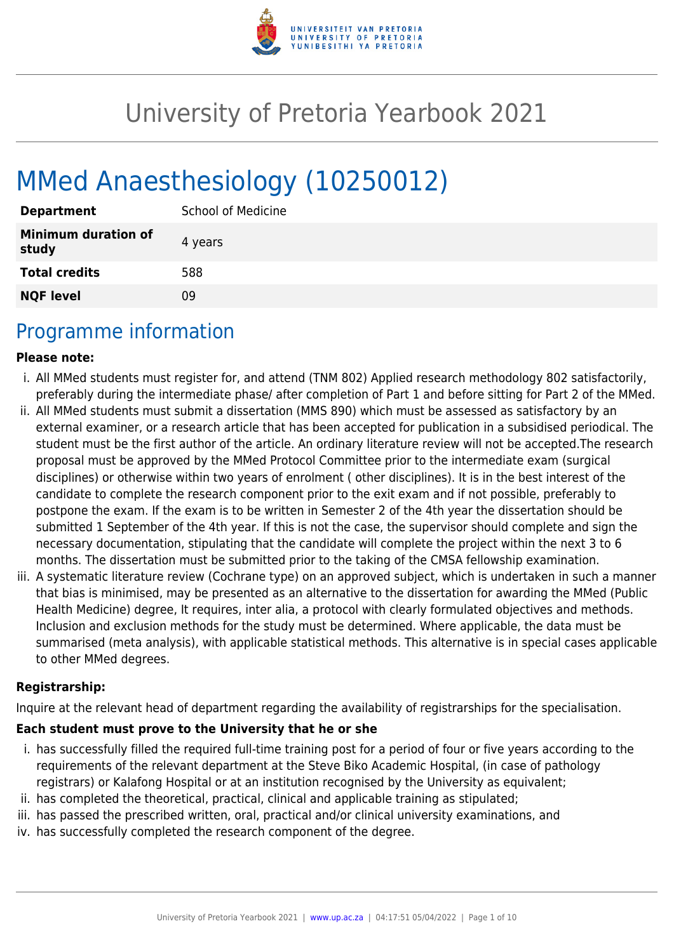

# University of Pretoria Yearbook 2021

# MMed Anaesthesiology (10250012)

| <b>Department</b>                   | <b>School of Medicine</b> |
|-------------------------------------|---------------------------|
| <b>Minimum duration of</b><br>study | 4 years                   |
| <b>Total credits</b>                | 588                       |
| <b>NQF level</b>                    | Ωd                        |

# Programme information

#### **Please note:**

- i. All MMed students must register for, and attend (TNM 802) Applied research methodology 802 satisfactorily, preferably during the intermediate phase/ after completion of Part 1 and before sitting for Part 2 of the MMed.
- ii. All MMed students must submit a dissertation (MMS 890) which must be assessed as satisfactory by an external examiner, or a research article that has been accepted for publication in a subsidised periodical. The student must be the first author of the article. An ordinary literature review will not be accepted.The research proposal must be approved by the MMed Protocol Committee prior to the intermediate exam (surgical disciplines) or otherwise within two years of enrolment ( other disciplines). It is in the best interest of the candidate to complete the research component prior to the exit exam and if not possible, preferably to postpone the exam. If the exam is to be written in Semester 2 of the 4th year the dissertation should be submitted 1 September of the 4th year. If this is not the case, the supervisor should complete and sign the necessary documentation, stipulating that the candidate will complete the project within the next 3 to 6 months. The dissertation must be submitted prior to the taking of the CMSA fellowship examination.
- iii. A systematic literature review (Cochrane type) on an approved subject, which is undertaken in such a manner that bias is minimised, may be presented as an alternative to the dissertation for awarding the MMed (Public Health Medicine) degree, It requires, inter alia, a protocol with clearly formulated objectives and methods. Inclusion and exclusion methods for the study must be determined. Where applicable, the data must be summarised (meta analysis), with applicable statistical methods. This alternative is in special cases applicable to other MMed degrees.

#### **Registrarship:**

Inquire at the relevant head of department regarding the availability of registrarships for the specialisation.

#### **Each student must prove to the University that he or she**

- i. has successfully filled the required full-time training post for a period of four or five years according to the requirements of the relevant department at the Steve Biko Academic Hospital, (in case of pathology registrars) or Kalafong Hospital or at an institution recognised by the University as equivalent;
- ii. has completed the theoretical, practical, clinical and applicable training as stipulated;
- iii. has passed the prescribed written, oral, practical and/or clinical university examinations, and
- iv. has successfully completed the research component of the degree.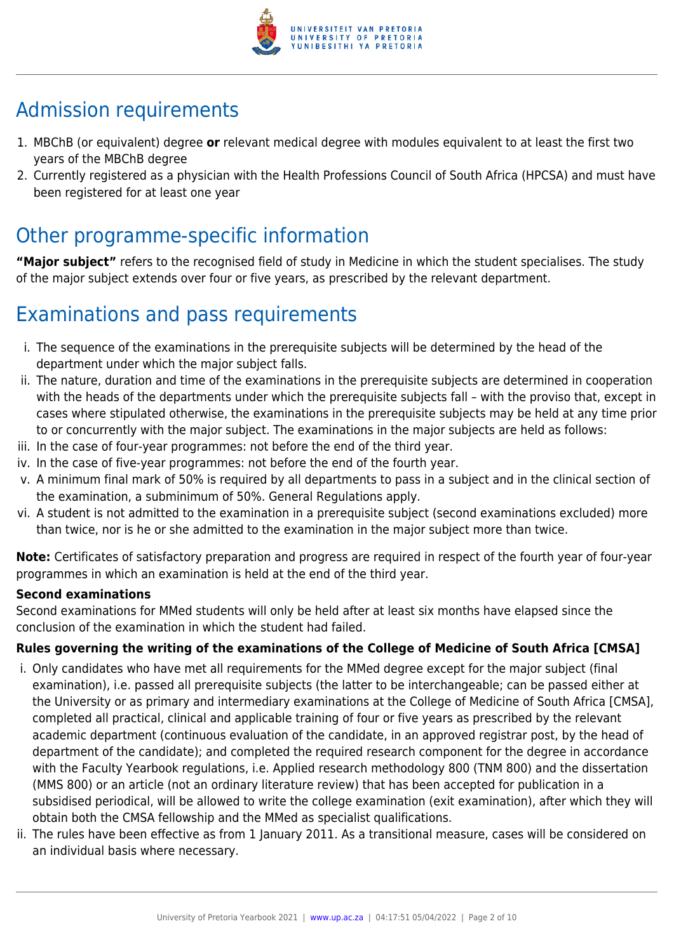

# Admission requirements

- 1. MBChB (or equivalent) degree **or** relevant medical degree with modules equivalent to at least the first two years of the MBChB degree
- 2. Currently registered as a physician with the Health Professions Council of South Africa (HPCSA) and must have been registered for at least one year

# Other programme-specific information

**"Major subject"** refers to the recognised field of study in Medicine in which the student specialises. The study of the major subject extends over four or five years, as prescribed by the relevant department.

# Examinations and pass requirements

- i. The sequence of the examinations in the prerequisite subjects will be determined by the head of the department under which the major subject falls.
- ii. The nature, duration and time of the examinations in the prerequisite subjects are determined in cooperation with the heads of the departments under which the prerequisite subjects fall – with the proviso that, except in cases where stipulated otherwise, the examinations in the prerequisite subjects may be held at any time prior to or concurrently with the major subject. The examinations in the major subjects are held as follows:
- iii. In the case of four-year programmes: not before the end of the third year.
- iv. In the case of five-year programmes: not before the end of the fourth year.
- v. A minimum final mark of 50% is required by all departments to pass in a subject and in the clinical section of the examination, a subminimum of 50%. General Regulations apply.
- vi. A student is not admitted to the examination in a prerequisite subject (second examinations excluded) more than twice, nor is he or she admitted to the examination in the major subject more than twice.

**Note:** Certificates of satisfactory preparation and progress are required in respect of the fourth year of four-year programmes in which an examination is held at the end of the third year.

#### **Second examinations**

Second examinations for MMed students will only be held after at least six months have elapsed since the conclusion of the examination in which the student had failed.

### **Rules governing the writing of the examinations of the College of Medicine of South Africa [CMSA]**

- i. Only candidates who have met all requirements for the MMed degree except for the major subject (final examination), i.e. passed all prerequisite subjects (the latter to be interchangeable; can be passed either at the University or as primary and intermediary examinations at the College of Medicine of South Africa [CMSA], completed all practical, clinical and applicable training of four or five years as prescribed by the relevant academic department (continuous evaluation of the candidate, in an approved registrar post, by the head of department of the candidate); and completed the required research component for the degree in accordance with the Faculty Yearbook regulations, i.e. Applied research methodology 800 (TNM 800) and the dissertation (MMS 800) or an article (not an ordinary literature review) that has been accepted for publication in a subsidised periodical, will be allowed to write the college examination (exit examination), after which they will obtain both the CMSA fellowship and the MMed as specialist qualifications.
- ii. The rules have been effective as from 1 January 2011. As a transitional measure, cases will be considered on an individual basis where necessary.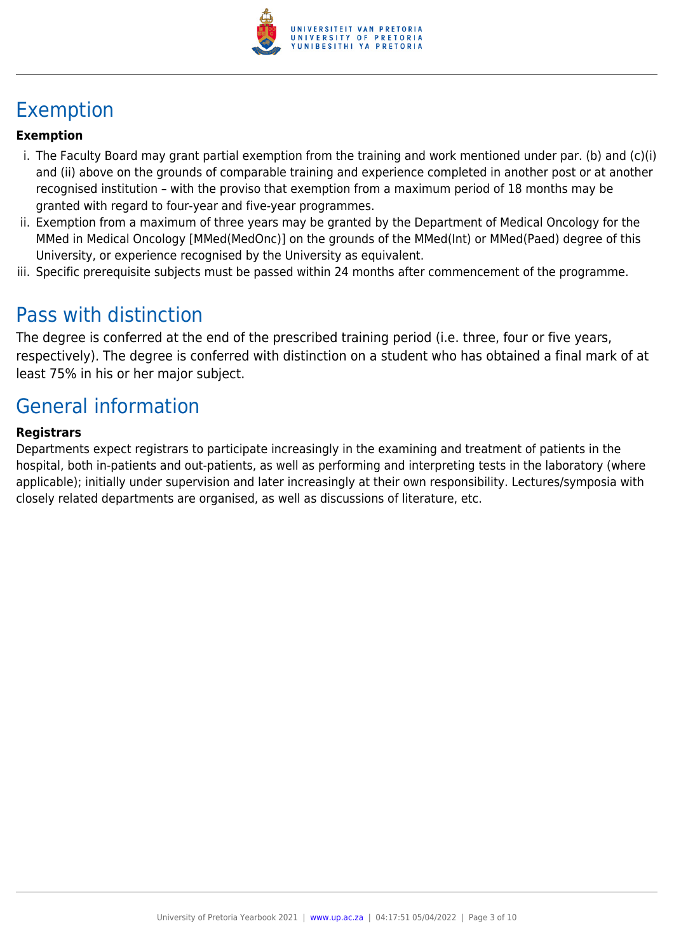

# Exemption

### **Exemption**

- i. The Faculty Board may grant partial exemption from the training and work mentioned under par. (b) and (c)(i) and (ii) above on the grounds of comparable training and experience completed in another post or at another recognised institution – with the proviso that exemption from a maximum period of 18 months may be granted with regard to four-year and five-year programmes.
- ii. Exemption from a maximum of three years may be granted by the Department of Medical Oncology for the MMed in Medical Oncology [MMed(MedOnc)] on the grounds of the MMed(Int) or MMed(Paed) degree of this University, or experience recognised by the University as equivalent.
- iii. Specific prerequisite subjects must be passed within 24 months after commencement of the programme.

# Pass with distinction

The degree is conferred at the end of the prescribed training period (i.e. three, four or five years, respectively). The degree is conferred with distinction on a student who has obtained a final mark of at least 75% in his or her major subject.

# General information

#### **Registrars**

Departments expect registrars to participate increasingly in the examining and treatment of patients in the hospital, both in-patients and out-patients, as well as performing and interpreting tests in the laboratory (where applicable); initially under supervision and later increasingly at their own responsibility. Lectures/symposia with closely related departments are organised, as well as discussions of literature, etc.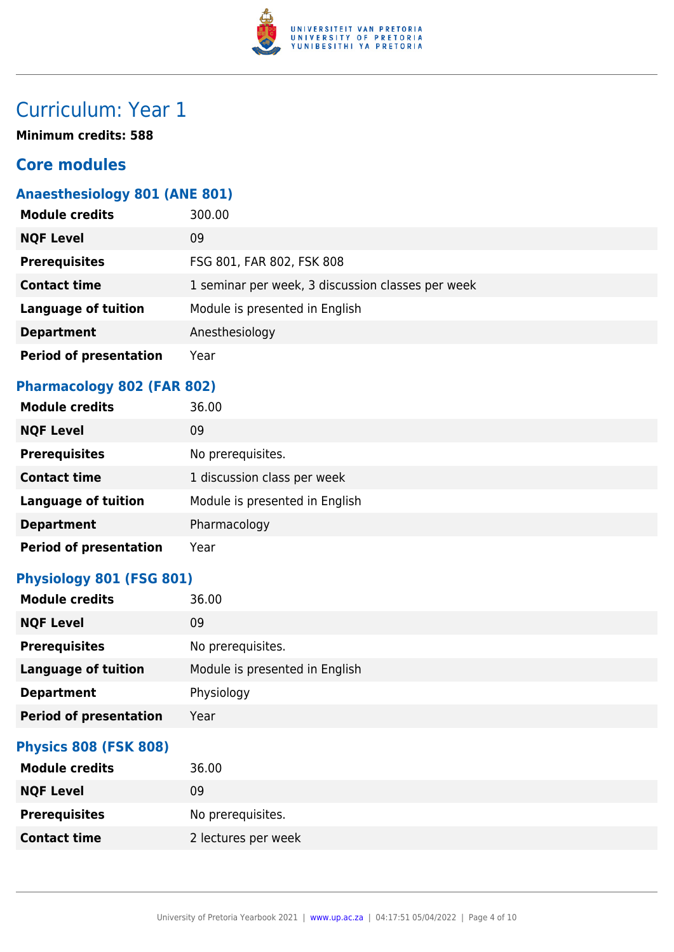

# Curriculum: Year 1

**Minimum credits: 588**

### **Core modules**

## **Anaesthesiology 801 (ANE 801)**

| <b>Module credits</b>         | 300.00                                            |
|-------------------------------|---------------------------------------------------|
| <b>NQF Level</b>              | 09                                                |
| <b>Prerequisites</b>          | FSG 801, FAR 802, FSK 808                         |
| <b>Contact time</b>           | 1 seminar per week, 3 discussion classes per week |
| <b>Language of tuition</b>    | Module is presented in English                    |
| <b>Department</b>             | Anesthesiology                                    |
| <b>Period of presentation</b> | Year                                              |

### **Pharmacology 802 (FAR 802)**

| <b>Module credits</b>         | 36.00                          |
|-------------------------------|--------------------------------|
| <b>NQF Level</b>              | 09                             |
| <b>Prerequisites</b>          | No prerequisites.              |
| <b>Contact time</b>           | 1 discussion class per week    |
| <b>Language of tuition</b>    | Module is presented in English |
| <b>Department</b>             | Pharmacology                   |
| <b>Period of presentation</b> | Year                           |

### **Physiology 801 (FSG 801)**

| <b>Module credits</b>         | 36.00                          |
|-------------------------------|--------------------------------|
| <b>NQF Level</b>              | 09                             |
| <b>Prerequisites</b>          | No prerequisites.              |
| <b>Language of tuition</b>    | Module is presented in English |
| <b>Department</b>             | Physiology                     |
| <b>Period of presentation</b> | Year                           |
| <b>Physics 808 (FSK 808)</b>  |                                |
| <b>Module credits</b>         | 36.00                          |
| <b>NQF Level</b>              | 09                             |
| <b>Prerequisites</b>          | No prerequisites.              |
| <b>Contact time</b>           | 2 lectures per week            |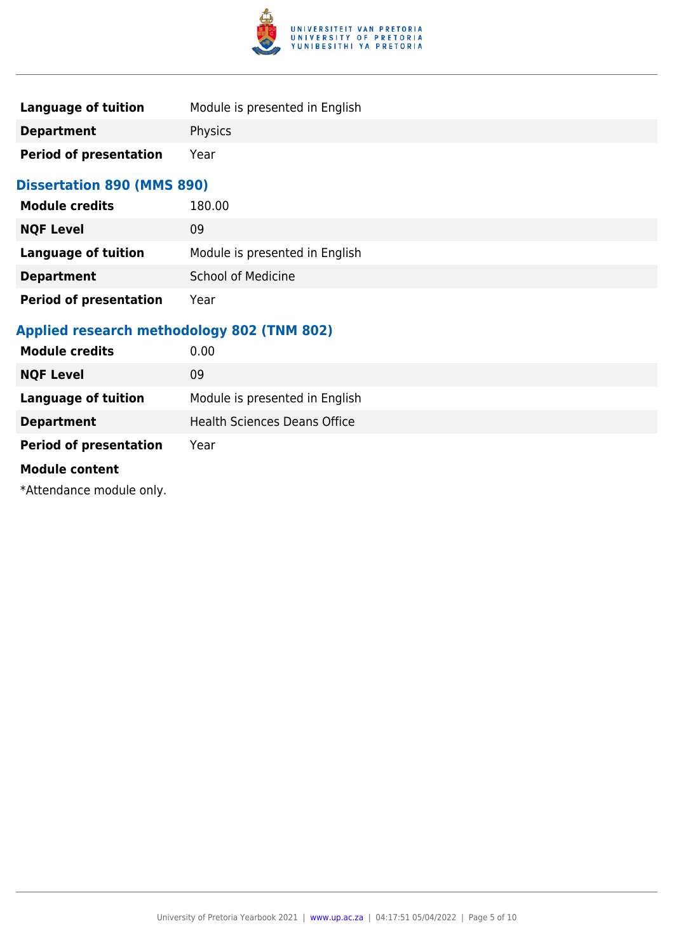

| Language of tuition           | Module is presented in English |
|-------------------------------|--------------------------------|
| <b>Department</b>             | <b>Physics</b>                 |
| <b>Period of presentation</b> | Year                           |

### **Dissertation 890 (MMS 890)**

| <b>Module credits</b>         | 180.00                         |
|-------------------------------|--------------------------------|
| <b>NQF Level</b>              | 09                             |
| Language of tuition           | Module is presented in English |
| <b>Department</b>             | <b>School of Medicine</b>      |
| <b>Period of presentation</b> | Year                           |

## **Applied research methodology 802 (TNM 802)**

| <b>Module credits</b>         | 0.00                                |
|-------------------------------|-------------------------------------|
| <b>NQF Level</b>              | 09                                  |
| <b>Language of tuition</b>    | Module is presented in English      |
| <b>Department</b>             | <b>Health Sciences Deans Office</b> |
| <b>Period of presentation</b> | Year                                |
| <b>Module content</b>         |                                     |

\*Attendance module only.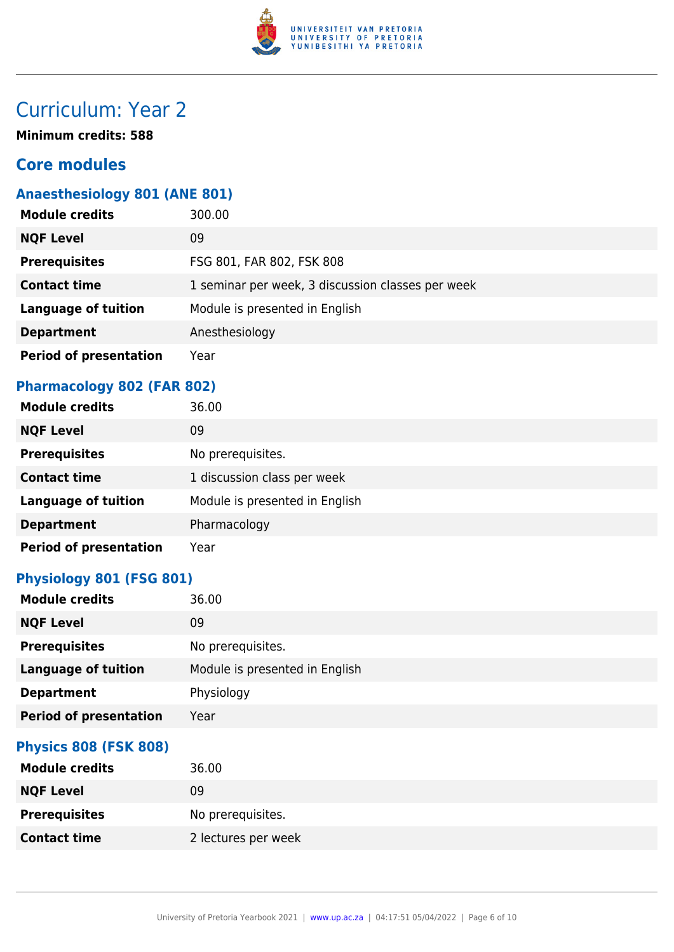

# Curriculum: Year 2

**Minimum credits: 588**

### **Core modules**

## **Anaesthesiology 801 (ANE 801)**

| <b>Module credits</b>         | 300.00                                            |
|-------------------------------|---------------------------------------------------|
| <b>NQF Level</b>              | 09                                                |
| <b>Prerequisites</b>          | FSG 801, FAR 802, FSK 808                         |
| <b>Contact time</b>           | 1 seminar per week, 3 discussion classes per week |
| <b>Language of tuition</b>    | Module is presented in English                    |
| <b>Department</b>             | Anesthesiology                                    |
| <b>Period of presentation</b> | Year                                              |

### **Pharmacology 802 (FAR 802)**

| <b>Module credits</b>         | 36.00                          |
|-------------------------------|--------------------------------|
| <b>NQF Level</b>              | 09                             |
| <b>Prerequisites</b>          | No prerequisites.              |
| <b>Contact time</b>           | 1 discussion class per week    |
| <b>Language of tuition</b>    | Module is presented in English |
| <b>Department</b>             | Pharmacology                   |
| <b>Period of presentation</b> | Year                           |

### **Physiology 801 (FSG 801)**

| <b>Module credits</b>         | 36.00                          |
|-------------------------------|--------------------------------|
| <b>NQF Level</b>              | 09                             |
| <b>Prerequisites</b>          | No prerequisites.              |
| <b>Language of tuition</b>    | Module is presented in English |
| <b>Department</b>             | Physiology                     |
| <b>Period of presentation</b> | Year                           |
| <b>Physics 808 (FSK 808)</b>  |                                |
| <b>Module credits</b>         | 36.00                          |
| <b>NQF Level</b>              | 09                             |
| <b>Prerequisites</b>          | No prerequisites.              |
| <b>Contact time</b>           | 2 lectures per week            |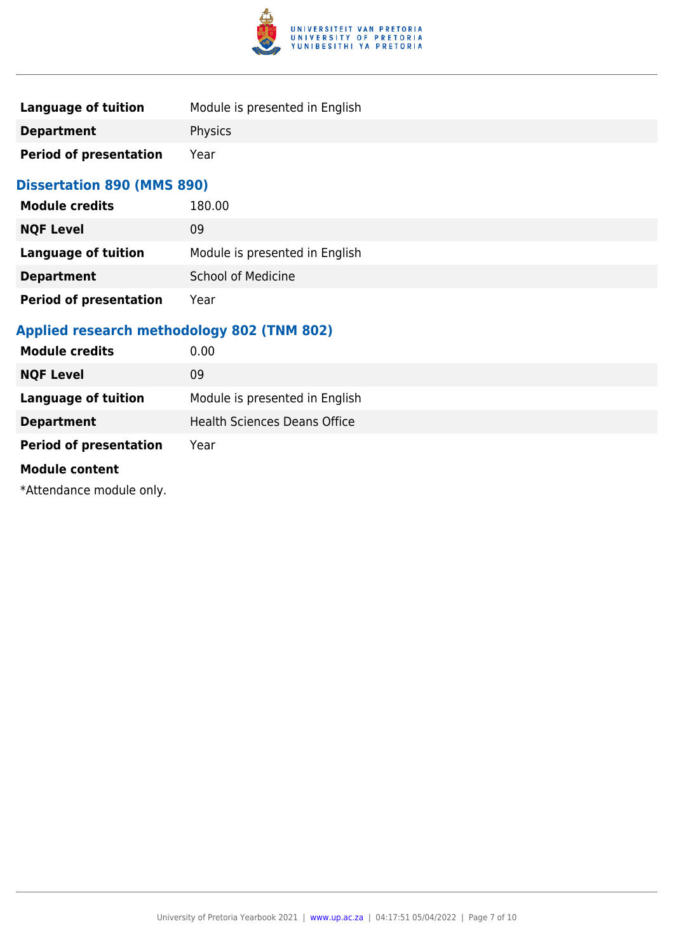

| Language of tuition           | Module is presented in English |
|-------------------------------|--------------------------------|
| <b>Department</b>             | <b>Physics</b>                 |
| <b>Period of presentation</b> | Year                           |

### **Dissertation 890 (MMS 890)**

| <b>Module credits</b>         | 180.00                         |
|-------------------------------|--------------------------------|
| <b>NQF Level</b>              | 09                             |
| Language of tuition           | Module is presented in English |
| <b>Department</b>             | <b>School of Medicine</b>      |
| <b>Period of presentation</b> | Year                           |

## **Applied research methodology 802 (TNM 802)**

| <b>Module credits</b>         | 0.00                                |
|-------------------------------|-------------------------------------|
| <b>NQF Level</b>              | 09                                  |
| <b>Language of tuition</b>    | Module is presented in English      |
| <b>Department</b>             | <b>Health Sciences Deans Office</b> |
| <b>Period of presentation</b> | Year                                |
| <b>Module content</b>         |                                     |

\*Attendance module only.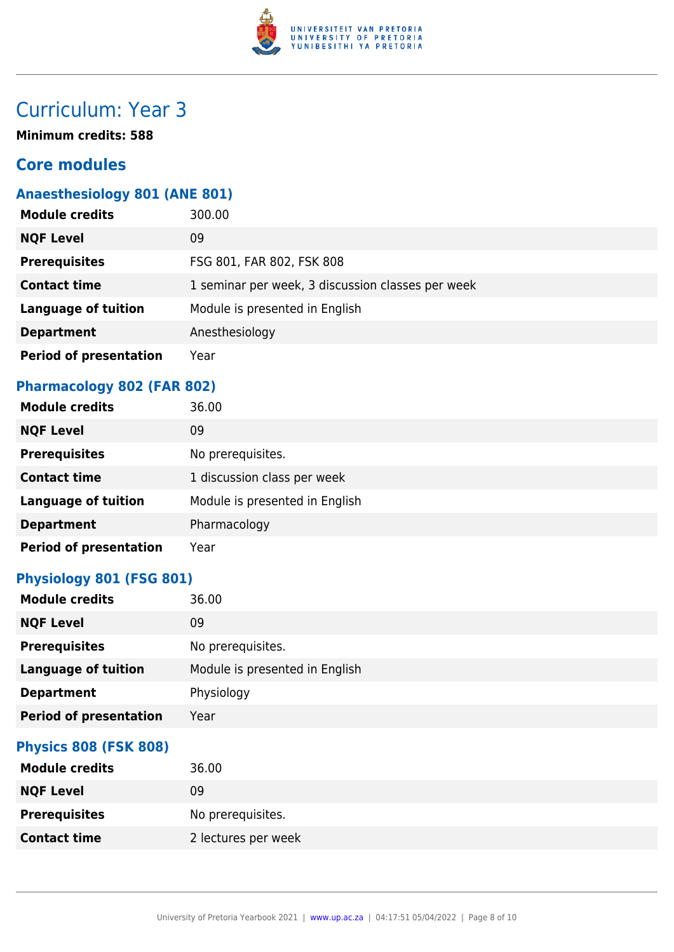

# Curriculum: Year 3

**Minimum credits: 588**

### **Core modules**

## **Anaesthesiology 801 (ANE 801)**

| <b>Module credits</b>         | 300.00                                            |
|-------------------------------|---------------------------------------------------|
| <b>NQF Level</b>              | 09                                                |
| <b>Prerequisites</b>          | FSG 801, FAR 802, FSK 808                         |
| <b>Contact time</b>           | 1 seminar per week, 3 discussion classes per week |
| <b>Language of tuition</b>    | Module is presented in English                    |
| <b>Department</b>             | Anesthesiology                                    |
| <b>Period of presentation</b> | Year                                              |

### **Pharmacology 802 (FAR 802)**

| <b>Module credits</b>         | 36.00                          |
|-------------------------------|--------------------------------|
| <b>NQF Level</b>              | 09                             |
| <b>Prerequisites</b>          | No prerequisites.              |
| <b>Contact time</b>           | 1 discussion class per week    |
| <b>Language of tuition</b>    | Module is presented in English |
| <b>Department</b>             | Pharmacology                   |
| <b>Period of presentation</b> | Year                           |

### **Physiology 801 (FSG 801)**

| <b>Module credits</b>         | 36.00                          |
|-------------------------------|--------------------------------|
| <b>NQF Level</b>              | 09                             |
| <b>Prerequisites</b>          | No prerequisites.              |
| <b>Language of tuition</b>    | Module is presented in English |
| <b>Department</b>             | Physiology                     |
| <b>Period of presentation</b> | Year                           |
| <b>Physics 808 (FSK 808)</b>  |                                |
| <b>Module credits</b>         | 36.00                          |
| <b>NQF Level</b>              | 09                             |
| <b>Prerequisites</b>          | No prerequisites.              |
| <b>Contact time</b>           | 2 lectures per week            |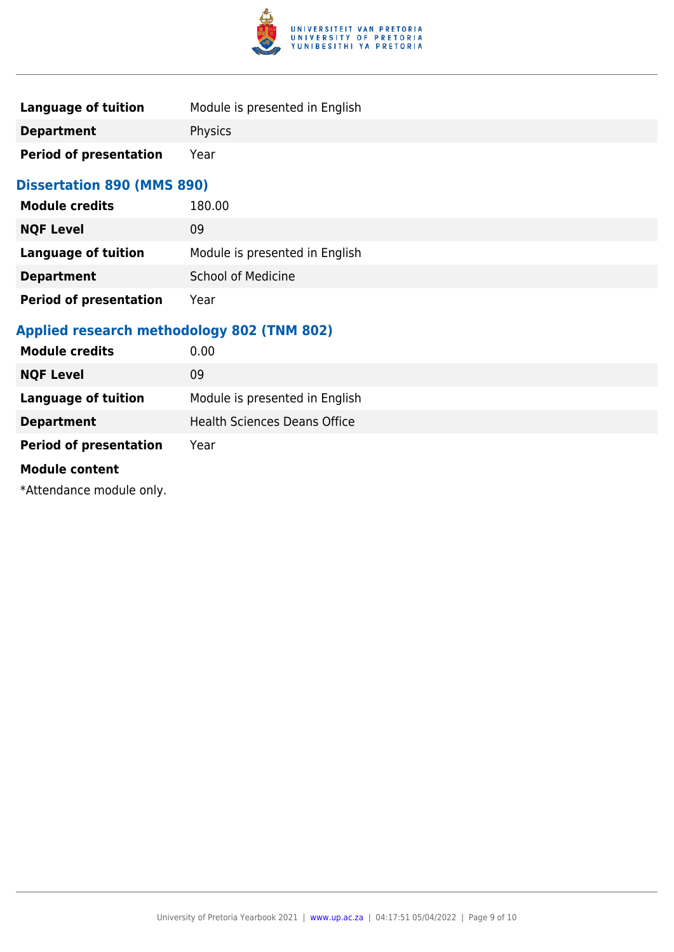

| Language of tuition           | Module is presented in English |
|-------------------------------|--------------------------------|
| <b>Department</b>             | <b>Physics</b>                 |
| <b>Period of presentation</b> | Year                           |

### **Dissertation 890 (MMS 890)**

| <b>Module credits</b>         | 180.00                         |
|-------------------------------|--------------------------------|
| <b>NQF Level</b>              | 09                             |
| Language of tuition           | Module is presented in English |
| <b>Department</b>             | <b>School of Medicine</b>      |
| <b>Period of presentation</b> | Year                           |

## **Applied research methodology 802 (TNM 802)**

| <b>Module credits</b>         | 0.00                                |
|-------------------------------|-------------------------------------|
| <b>NQF Level</b>              | 09                                  |
| <b>Language of tuition</b>    | Module is presented in English      |
| <b>Department</b>             | <b>Health Sciences Deans Office</b> |
| <b>Period of presentation</b> | Year                                |
| <b>Module content</b>         |                                     |

\*Attendance module only.